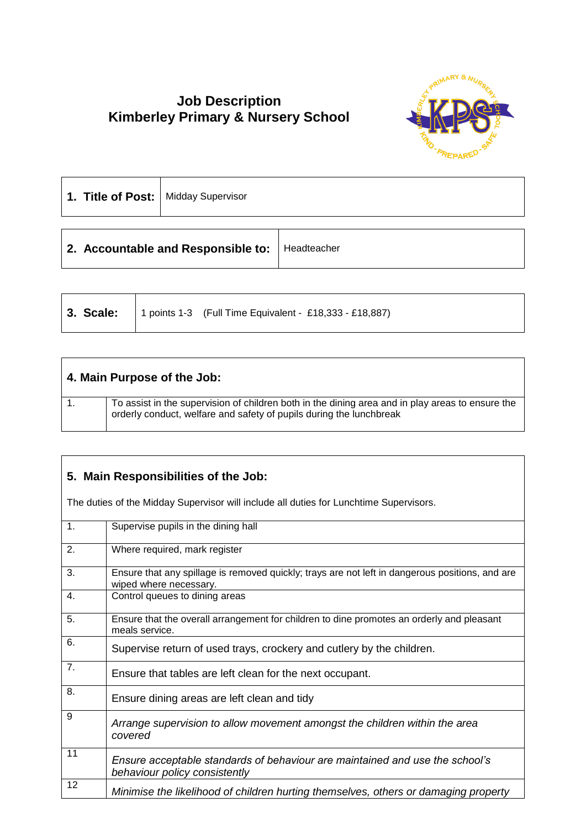## **Job Description Kimberley Primary & Nursery School**



| 1. Title of Post:   Midday Supervisor            |  |  |  |
|--------------------------------------------------|--|--|--|
| 2. Accountable and Responsible to:   Headteacher |  |  |  |

|  | <b>3. Scale:</b>   1 points 1-3 (Full Time Equivalent - £18,333 - £18,887) |
|--|----------------------------------------------------------------------------|
|  |                                                                            |

| 4. Main Purpose of the Job: |                                                                                                                                                                         |
|-----------------------------|-------------------------------------------------------------------------------------------------------------------------------------------------------------------------|
|                             | To assist in the supervision of children both in the dining area and in play areas to ensure the<br>orderly conduct, welfare and safety of pupils during the lunchbreak |

## **5. Main Responsibilities of the Job:**

The duties of the Midday Supervisor will include all duties for Lunchtime Supervisors.

| 1. | Supervise pupils in the dining hall                                                                                       |
|----|---------------------------------------------------------------------------------------------------------------------------|
| 2. | Where required, mark register                                                                                             |
| 3. | Ensure that any spillage is removed quickly; trays are not left in dangerous positions, and are<br>wiped where necessary. |
| 4. | Control queues to dining areas                                                                                            |
| 5. | Ensure that the overall arrangement for children to dine promotes an orderly and pleasant<br>meals service.               |
| 6. | Supervise return of used trays, crockery and cutlery by the children.                                                     |
| 7. | Ensure that tables are left clean for the next occupant.                                                                  |
| 8. | Ensure dining areas are left clean and tidy                                                                               |
| 9  | Arrange supervision to allow movement amongst the children within the area<br>covered                                     |
| 11 | Ensure acceptable standards of behaviour are maintained and use the school's<br>behaviour policy consistently             |
| 12 | Minimise the likelihood of children hurting themselves, others or damaging property                                       |